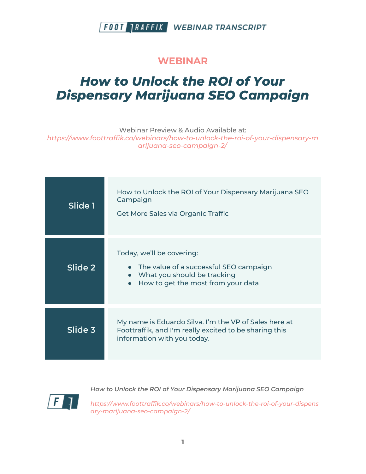#### **WEBINAR**

# *How to Unlock the ROI of Your Dispensary Marijuana SEO Campaign*

Webinar Preview & Audio Available at:

*https://www.foottraffik.co/webinars/how-to-unlock-the-roi-of-your-dispensary-m arijuana-seo-campaign-2/*

| Slide 1 | How to Unlock the ROI of Your Dispensary Marijuana SEO<br>Campaign<br>Get More Sales via Organic Traffic                                                             |
|---------|----------------------------------------------------------------------------------------------------------------------------------------------------------------------|
|         |                                                                                                                                                                      |
| Slide 2 | Today, we'll be covering:<br>• The value of a successful SEO campaign<br>What you should be tracking<br>$\bullet$<br>How to get the most from your data<br>$\bullet$ |
| Slide 3 | My name is Eduardo Silva. I'm the VP of Sales here at<br>Foottraffik, and I'm really excited to be sharing this<br>information with you today.                       |



*How to Unlock the ROI of Your Dispensary Marijuana SEO Campaign*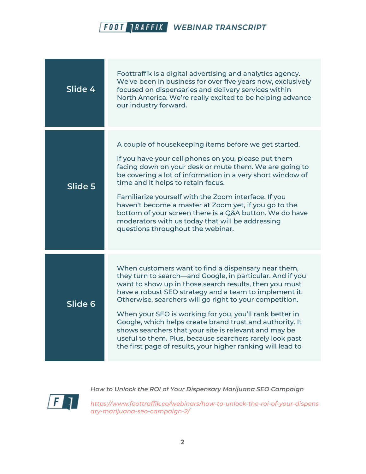

| Slide 4 | Foottraffik is a digital advertising and analytics agency.<br>We've been in business for over five years now, exclusively<br>focused on dispensaries and delivery services within<br>North America. We're really excited to be helping advance<br>our industry forward.                                                                                                                                                                                                                                                                                                                                    |
|---------|------------------------------------------------------------------------------------------------------------------------------------------------------------------------------------------------------------------------------------------------------------------------------------------------------------------------------------------------------------------------------------------------------------------------------------------------------------------------------------------------------------------------------------------------------------------------------------------------------------|
| Slide 5 | A couple of housekeeping items before we get started.<br>If you have your cell phones on you, please put them<br>facing down on your desk or mute them. We are going to<br>be covering a lot of information in a very short window of<br>time and it helps to retain focus.<br>Familiarize yourself with the Zoom interface. If you<br>haven't become a master at Zoom yet, if you go to the<br>bottom of your screen there is a Q&A button. We do have<br>moderators with us today that will be addressing<br>questions throughout the webinar.                                                           |
| Slide 6 | When customers want to find a dispensary near them,<br>they turn to search—and Google, in particular. And if you<br>want to show up in those search results, then you must<br>have a robust SEO strategy and a team to implement it.<br>Otherwise, searchers will go right to your competition.<br>When your SEO is working for you, you'll rank better in<br>Google, which helps create brand trust and authority. It<br>shows searchers that your site is relevant and may be<br>useful to them. Plus, because searchers rarely look past<br>the first page of results, your higher ranking will lead to |



*How to Unlock the ROI of Your Dispensary Marijuana SEO Campaign*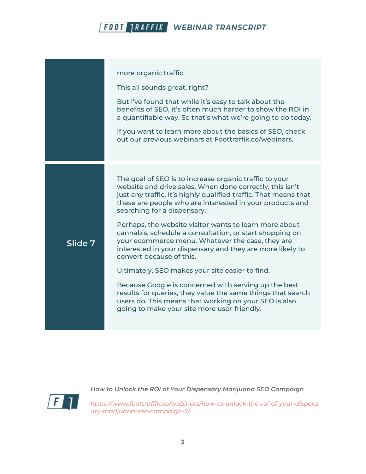|         | more organic traffic.<br>This all sounds great, right?                                                                                                                                                                                                                                                                                      |
|---------|---------------------------------------------------------------------------------------------------------------------------------------------------------------------------------------------------------------------------------------------------------------------------------------------------------------------------------------------|
|         | But I've found that while it's easy to talk about the<br>benefits of SEO, it's often much harder to show the ROI in<br>a quantifiable way. So that's what we're going to do today.                                                                                                                                                          |
|         | If you want to learn more about the basics of SEO, check<br>out our previous webinars at Foottraffik.co/webinars.                                                                                                                                                                                                                           |
|         |                                                                                                                                                                                                                                                                                                                                             |
|         | The goal of SEO is to increase organic traffic to your<br>website and drive sales. When done correctly, this isn't<br>just any traffic. It's highly qualified traffic. That means that<br>these are people who are interested in your products and<br>searching for a dispensary.<br>Perhaps, the website visitor wants to learn more about |
| Slide 7 | cannabis, schedule a consultation, or start shopping on<br>your ecommerce menu. Whatever the case, they are<br>interested in your dispensary and they are more likely to<br>convert because of this.                                                                                                                                        |
|         | Ultimately, SEO makes your site easier to find.                                                                                                                                                                                                                                                                                             |
|         | Because Google is concerned with serving up the best<br>results for queries, they value the same things that search<br>users do. This means that working on your SEO is also<br>going to make your site more user-friendly.                                                                                                                 |
|         |                                                                                                                                                                                                                                                                                                                                             |



*How to Unlock the ROI of Your Dispensary Marijuana SEO Campaign*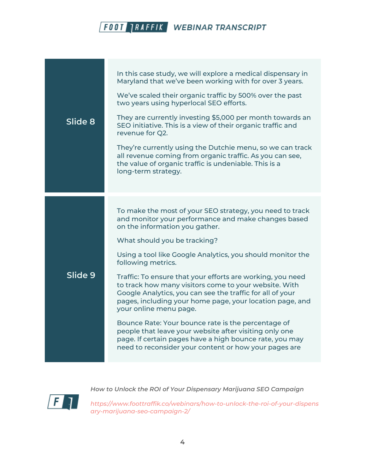| Slide 8 | In this case study, we will explore a medical dispensary in<br>Maryland that we've been working with for over 3 years.<br>We've scaled their organic traffic by 500% over the past<br>two years using hyperlocal SEO efforts.<br>They are currently investing \$5,000 per month towards an<br>SEO initiative. This is a view of their organic traffic and<br>revenue for Q2. |
|---------|------------------------------------------------------------------------------------------------------------------------------------------------------------------------------------------------------------------------------------------------------------------------------------------------------------------------------------------------------------------------------|
|         | They're currently using the Dutchie menu, so we can track<br>all revenue coming from organic traffic. As you can see,<br>the value of organic traffic is undeniable. This is a<br>long-term strategy.                                                                                                                                                                        |
|         | To make the most of your SEO strategy, you need to track<br>and monitor your performance and make changes based<br>on the information you gather.<br>What should you be tracking?<br>Using a tool like Google Analytics, you should monitor the                                                                                                                              |
| Slide 9 | following metrics.<br>Traffic: To ensure that your efforts are working, you need<br>to track how many visitors come to your website. With<br>Google Analytics, you can see the traffic for all of your<br>pages, including your home page, your location page, and<br>your online menu page.                                                                                 |
|         | Bounce Rate: Your bounce rate is the percentage of<br>people that leave your website after visiting only one<br>page. If certain pages have a high bounce rate, you may<br>need to reconsider your content or how your pages are                                                                                                                                             |



*How to Unlock the ROI of Your Dispensary Marijuana SEO Campaign*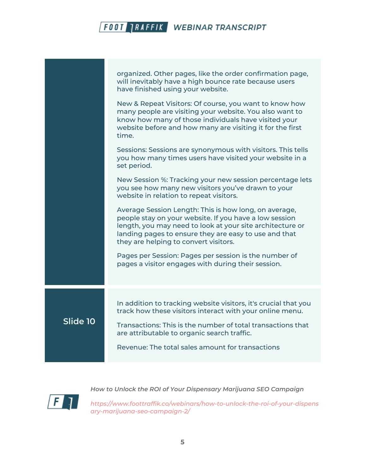|          | organized. Other pages, like the order confirmation page,<br>will inevitably have a high bounce rate because users<br>have finished using your website.                                                                                                                        |
|----------|--------------------------------------------------------------------------------------------------------------------------------------------------------------------------------------------------------------------------------------------------------------------------------|
|          | New & Repeat Visitors: Of course, you want to know how<br>many people are visiting your website. You also want to<br>know how many of those individuals have visited your<br>website before and how many are visiting it for the first<br>time.                                |
|          | Sessions: Sessions are synonymous with visitors. This tells<br>you how many times users have visited your website in a<br>set period.                                                                                                                                          |
|          | New Session %: Tracking your new session percentage lets<br>you see how many new visitors you've drawn to your<br>website in relation to repeat visitors.                                                                                                                      |
|          | Average Session Length: This is how long, on average,<br>people stay on your website. If you have a low session<br>length, you may need to look at your site architecture or<br>landing pages to ensure they are easy to use and that<br>they are helping to convert visitors. |
|          | Pages per Session: Pages per session is the number of<br>pages a visitor engages with during their session.                                                                                                                                                                    |
|          |                                                                                                                                                                                                                                                                                |
|          | In addition to tracking website visitors, it's crucial that you<br>track how these visitors interact with your online menu.                                                                                                                                                    |
| Slide 10 | Transactions: This is the number of total transactions that<br>are attributable to organic search traffic.                                                                                                                                                                     |
|          | Revenue: The total sales amount for transactions                                                                                                                                                                                                                               |
|          |                                                                                                                                                                                                                                                                                |

 $\sqrt{F}$ 

*How to Unlock the ROI of Your Dispensary Marijuana SEO Campaign*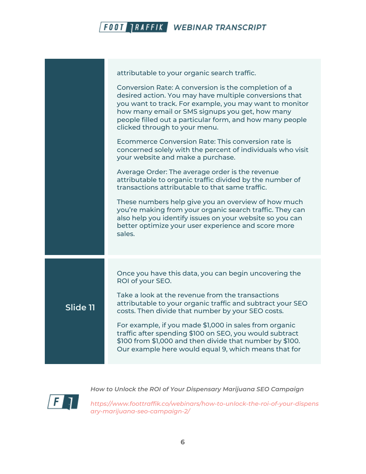

|          | attributable to your organic search traffic.                                                                                                                                                                                                                                                                              |
|----------|---------------------------------------------------------------------------------------------------------------------------------------------------------------------------------------------------------------------------------------------------------------------------------------------------------------------------|
|          | Conversion Rate: A conversion is the completion of a<br>desired action. You may have multiple conversions that<br>you want to track. For example, you may want to monitor<br>how many email or SMS signups you get, how many<br>people filled out a particular form, and how many people<br>clicked through to your menu. |
|          | Ecommerce Conversion Rate: This conversion rate is<br>concerned solely with the percent of individuals who visit<br>your website and make a purchase.                                                                                                                                                                     |
|          | Average Order: The average order is the revenue<br>attributable to organic traffic divided by the number of<br>transactions attributable to that same traffic.                                                                                                                                                            |
|          | These numbers help give you an overview of how much<br>you're making from your organic search traffic. They can<br>also help you identify issues on your website so you can<br>better optimize your user experience and score more<br>sales.                                                                              |
|          |                                                                                                                                                                                                                                                                                                                           |
|          | Once you have this data, you can begin uncovering the<br>ROI of your SEO.                                                                                                                                                                                                                                                 |
| Slide 11 | Take a look at the revenue from the transactions<br>attributable to your organic traffic and subtract your SEO<br>costs. Then divide that number by your SEO costs.                                                                                                                                                       |
|          | For example, if you made \$1,000 in sales from organic<br>traffic after spending \$100 on SEO, you would subtract<br>\$100 from \$1,000 and then divide that number by \$100.<br>Our example here would equal 9, which means that for                                                                                     |
|          |                                                                                                                                                                                                                                                                                                                           |



*How to Unlock the ROI of Your Dispensary Marijuana SEO Campaign*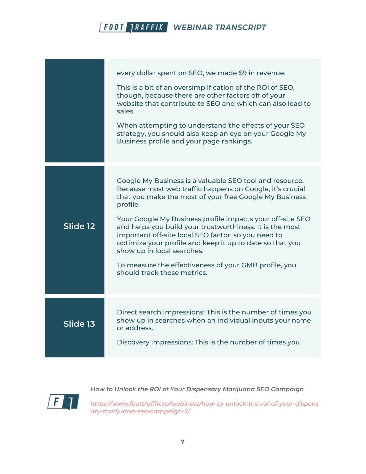|          | every dollar spent on SEO, we made \$9 in revenue.<br>This is a bit of an oversimplification of the ROI of SEO,<br>though, because there are other factors off of your<br>website that contribute to SEO and which can also lead to<br>sales.<br>When attempting to understand the effects of your SEO<br>strategy, you should also keep an eye on your Google My<br>Business profile and your page rankings.                                                                                                                                               |
|----------|-------------------------------------------------------------------------------------------------------------------------------------------------------------------------------------------------------------------------------------------------------------------------------------------------------------------------------------------------------------------------------------------------------------------------------------------------------------------------------------------------------------------------------------------------------------|
| Slide 12 | Google My Business is a valuable SEO tool and resource.<br>Because most web traffic happens on Google, it's crucial<br>that you make the most of your free Google My Business<br>profile.<br>Your Google My Business profile impacts your off-site SEO<br>and helps you build your trustworthiness. It is the most<br>important off-site local SEO factor, so you need to<br>optimize your profile and keep it up to date so that you<br>show up in local searches.<br>To measure the effectiveness of your GMB profile, you<br>should track these metrics. |
| Slide 13 | Direct search impressions: This is the number of times you<br>show up in searches when an individual inputs your name<br>or address.<br>Discovery impressions: This is the number of times you                                                                                                                                                                                                                                                                                                                                                              |



*How to Unlock the ROI of Your Dispensary Marijuana SEO Campaign*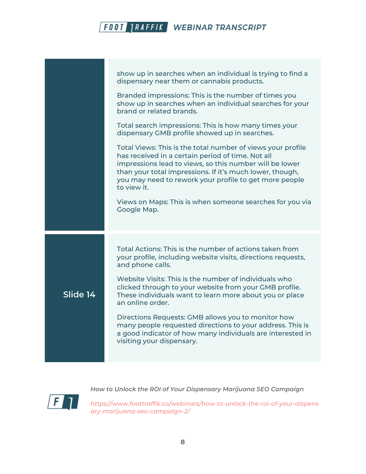|          | show up in searches when an individual is trying to find a<br>dispensary near them or cannabis products.                                                                                                                                                                                                         |
|----------|------------------------------------------------------------------------------------------------------------------------------------------------------------------------------------------------------------------------------------------------------------------------------------------------------------------|
|          | Branded impressions: This is the number of times you<br>show up in searches when an individual searches for your<br>brand or related brands.                                                                                                                                                                     |
|          | Total search impressions: This is how many times your<br>dispensary GMB profile showed up in searches.                                                                                                                                                                                                           |
|          | Total Views: This is the total number of views your profile<br>has received in a certain period of time. Not all<br>impressions lead to views, so this number will be lower<br>than your total impressions. If it's much lower, though,<br>you may need to rework your profile to get more people<br>to view it. |
|          | Views on Maps: This is when someone searches for you via<br>Google Map.                                                                                                                                                                                                                                          |
|          |                                                                                                                                                                                                                                                                                                                  |
|          | Total Actions: This is the number of actions taken from<br>your profile, including website visits, directions requests,<br>and phone calls.                                                                                                                                                                      |
| Slide 14 | Website Visits: This is the number of individuals who<br>clicked through to your website from your GMB profile.<br>These individuals want to learn more about you or place<br>an online order.                                                                                                                   |
|          | Directions Requests: GMB allows you to monitor how<br>many people requested directions to your address. This is<br>a good indicator of how many individuals are interested in<br>visiting your dispensary.                                                                                                       |
|          |                                                                                                                                                                                                                                                                                                                  |



*How to Unlock the ROI of Your Dispensary Marijuana SEO Campaign*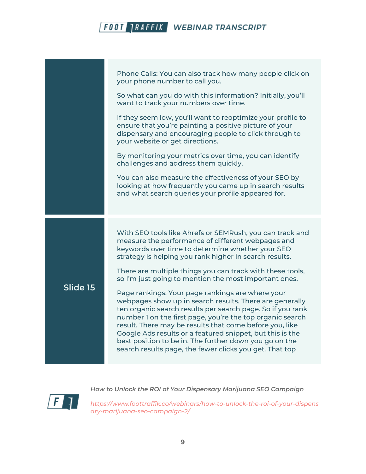|          | Phone Calls: You can also track how many people click on<br>your phone number to call you.                                                                                                                                                                                                                                                                                                                                                                                          |
|----------|-------------------------------------------------------------------------------------------------------------------------------------------------------------------------------------------------------------------------------------------------------------------------------------------------------------------------------------------------------------------------------------------------------------------------------------------------------------------------------------|
|          | So what can you do with this information? Initially, you'll<br>want to track your numbers over time.                                                                                                                                                                                                                                                                                                                                                                                |
|          | If they seem low, you'll want to reoptimize your profile to<br>ensure that you're painting a positive picture of your<br>dispensary and encouraging people to click through to<br>your website or get directions.                                                                                                                                                                                                                                                                   |
|          | By monitoring your metrics over time, you can identify<br>challenges and address them quickly.                                                                                                                                                                                                                                                                                                                                                                                      |
|          | You can also measure the effectiveness of your SEO by<br>looking at how frequently you came up in search results<br>and what search queries your profile appeared for.                                                                                                                                                                                                                                                                                                              |
|          |                                                                                                                                                                                                                                                                                                                                                                                                                                                                                     |
| Slide 15 | With SEO tools like Ahrefs or SEMRush, you can track and<br>measure the performance of different webpages and<br>keywords over time to determine whether your SEO<br>strategy is helping you rank higher in search results.                                                                                                                                                                                                                                                         |
|          | There are multiple things you can track with these tools,<br>so I'm just going to mention the most important ones.                                                                                                                                                                                                                                                                                                                                                                  |
|          | Page rankings: Your page rankings are where your<br>webpages show up in search results. There are generally<br>ten organic search results per search page. So if you rank<br>number 1 on the first page, you're the top organic search<br>result. There may be results that come before you, like<br>Google Ads results or a featured snippet, but this is the<br>best position to be in. The further down you go on the<br>search results page, the fewer clicks you get. That top |
|          |                                                                                                                                                                                                                                                                                                                                                                                                                                                                                     |

 $\sqrt{F}$ 

*How to Unlock the ROI of Your Dispensary Marijuana SEO Campaign*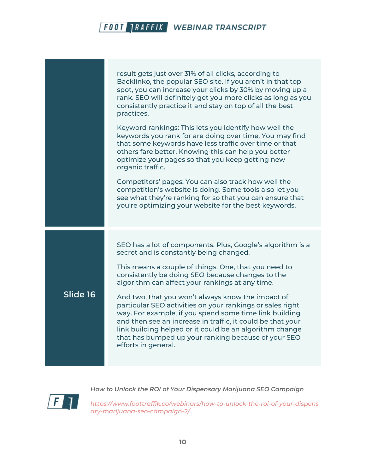

*How to Unlock the ROI of Your Dispensary Marijuana SEO Campaign*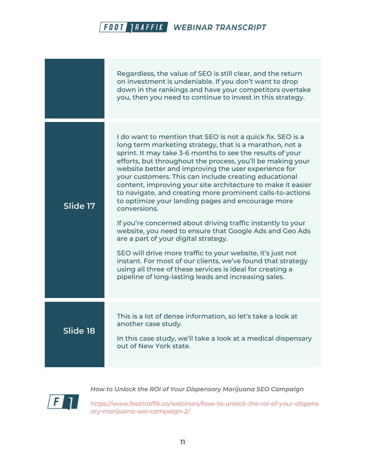|          | Regardless, the value of SEO is still clear, and the return<br>on investment is undeniable. If you don't want to drop<br>down in the rankings and have your competitors overtake<br>you, then you need to continue to invest in this strategy.                                                                                                                                                                                                                                                                                                                                                                                                                                                                                                                                                                                                                                                                                                                                         |
|----------|----------------------------------------------------------------------------------------------------------------------------------------------------------------------------------------------------------------------------------------------------------------------------------------------------------------------------------------------------------------------------------------------------------------------------------------------------------------------------------------------------------------------------------------------------------------------------------------------------------------------------------------------------------------------------------------------------------------------------------------------------------------------------------------------------------------------------------------------------------------------------------------------------------------------------------------------------------------------------------------|
| Slide 17 | I do want to mention that SEO is not a quick fix. SEO is a<br>long term marketing strategy, that is a marathon, not a<br>sprint. It may take 3-6 months to see the results of your<br>efforts, but throughout the process, you'll be making your<br>website better and improving the user experience for<br>your customers. This can include creating educational<br>content, improving your site architecture to make it easier<br>to navigate, and creating more prominent calls-to-actions<br>to optimize your landing pages and encourage more<br>conversions.<br>If you're concerned about driving traffic instantly to your<br>website, you need to ensure that Google Ads and Geo Ads<br>are a part of your digital strategy.<br>SEO will drive more traffic to your website, it's just not<br>instant. For most of our clients, we've found that strategy<br>using all three of these services is ideal for creating a<br>pipeline of long-lasting leads and increasing sales. |
| Slide 18 | This is a lot of dense information, so let's take a look at<br>another case study.<br>In this case study, we'll take a look at a medical dispensary<br>out of New York state.                                                                                                                                                                                                                                                                                                                                                                                                                                                                                                                                                                                                                                                                                                                                                                                                          |



*How to Unlock the ROI of Your Dispensary Marijuana SEO Campaign*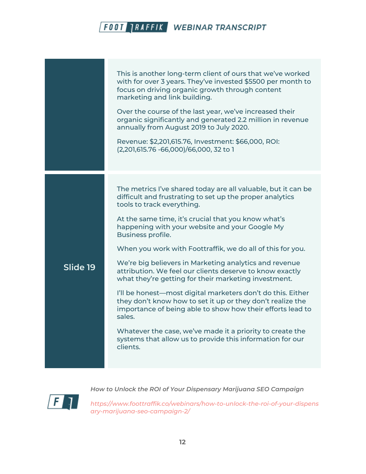|          | This is another long-term client of ours that we've worked<br>with for over 3 years. They've invested \$5500 per month to<br>focus on driving organic growth through content<br>marketing and link building.<br>Over the course of the last year, we've increased their<br>organic significantly and generated 2.2 million in revenue<br>annually from August 2019 to July 2020.<br>Revenue: \$2,201,615.76, Investment: \$66,000, ROI:<br>(2,201,615.76 -66,000)/66,000, 32 to 1                                                                                                                                                                                                                                                                                                                                                                                            |
|----------|------------------------------------------------------------------------------------------------------------------------------------------------------------------------------------------------------------------------------------------------------------------------------------------------------------------------------------------------------------------------------------------------------------------------------------------------------------------------------------------------------------------------------------------------------------------------------------------------------------------------------------------------------------------------------------------------------------------------------------------------------------------------------------------------------------------------------------------------------------------------------|
| Slide 19 | The metrics I've shared today are all valuable, but it can be<br>difficult and frustrating to set up the proper analytics<br>tools to track everything.<br>At the same time, it's crucial that you know what's<br>happening with your website and your Google My<br>Business profile.<br>When you work with Foottraffik, we do all of this for you.<br>We're big believers in Marketing analytics and revenue<br>attribution. We feel our clients deserve to know exactly<br>what they're getting for their marketing investment.<br>I'll be honest—most digital marketers don't do this. Either<br>they don't know how to set it up or they don't realize the<br>importance of being able to show how their efforts lead to<br>sales.<br>Whatever the case, we've made it a priority to create the<br>systems that allow us to provide this information for our<br>clients. |



*How to Unlock the ROI of Your Dispensary Marijuana SEO Campaign*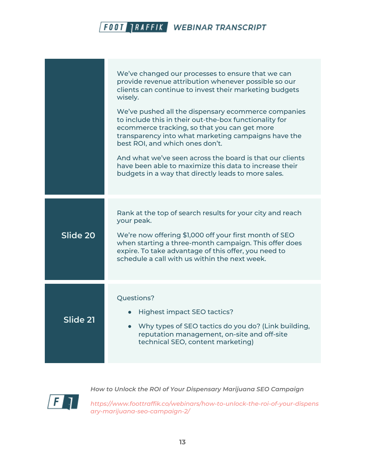|          | We've changed our processes to ensure that we can<br>provide revenue attribution whenever possible so our<br>clients can continue to invest their marketing budgets<br>wisely.<br>We've pushed all the dispensary ecommerce companies<br>to include this in their out-the-box functionality for<br>ecommerce tracking, so that you can get more<br>transparency into what marketing campaigns have the<br>best ROI, and which ones don't.<br>And what we've seen across the board is that our clients<br>have been able to maximize this data to increase their<br>budgets in a way that directly leads to more sales. |
|----------|------------------------------------------------------------------------------------------------------------------------------------------------------------------------------------------------------------------------------------------------------------------------------------------------------------------------------------------------------------------------------------------------------------------------------------------------------------------------------------------------------------------------------------------------------------------------------------------------------------------------|
| Slide 20 | Rank at the top of search results for your city and reach<br>your peak.<br>We're now offering \$1,000 off your first month of SEO<br>when starting a three-month campaign. This offer does<br>expire. To take advantage of this offer, you need to<br>schedule a call with us within the next week.                                                                                                                                                                                                                                                                                                                    |
| Slide 21 | Questions?<br>Highest impact SEO tactics?<br>Why types of SEO tactics do you do? (Link building,<br>$\bullet$<br>reputation management, on-site and off-site<br>technical SEO, content marketing)                                                                                                                                                                                                                                                                                                                                                                                                                      |



*How to Unlock the ROI of Your Dispensary Marijuana SEO Campaign*